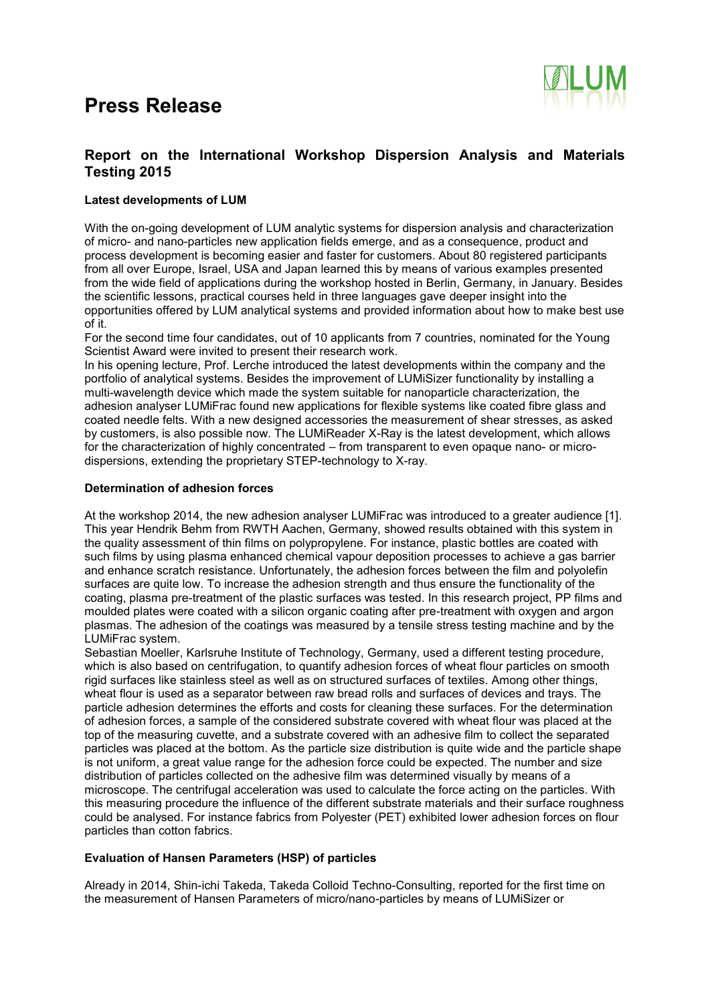

### **Report on the International Workshop Dispersion Analysis and Materials Testing 2015**

### **Latest developments of LUM**

With the on-going development of LUM analytic systems for dispersion analysis and characterization of micro- and nano-particles new application fields emerge, and as a consequence, product and process development is becoming easier and faster for customers. About 80 registered participants from all over Europe, Israel, USA and Japan learned this by means of various examples presented from the wide field of applications during the workshop hosted in Berlin, Germany, in January. Besides the scientific lessons, practical courses held in three languages gave deeper insight into the opportunities offered by LUM analytical systems and provided information about how to make best use of it.

For the second time four candidates, out of 10 applicants from 7 countries, nominated for the Young Scientist Award were invited to present their research work.

In his opening lecture, Prof. Lerche introduced the latest developments within the company and the portfolio of analytical systems. Besides the improvement of LUMiSizer functionality by installing a multi-wavelength device which made the system suitable for nanoparticle characterization, the adhesion analyser LUMiFrac found new applications for flexible systems like coated fibre glass and coated needle felts. With a new designed accessories the measurement of shear stresses, as asked by customers, is also possible now. The LUMiReader X-Ray is the latest development, which allows for the characterization of highly concentrated – from transparent to even opaque nano- or microdispersions, extending the proprietary STEP-technology to X-ray.

#### **Determination of adhesion forces**

At the workshop 2014, the new adhesion analyser LUMiFrac was introduced to a greater audience [1]. This year Hendrik Behm from RWTH Aachen, Germany, showed results obtained with this system in the quality assessment of thin films on polypropylene. For instance, plastic bottles are coated with such films by using plasma enhanced chemical vapour deposition processes to achieve a gas barrier and enhance scratch resistance. Unfortunately, the adhesion forces between the film and polyolefin surfaces are quite low. To increase the adhesion strength and thus ensure the functionality of the coating, plasma pre-treatment of the plastic surfaces was tested. In this research project, PP films and moulded plates were coated with a silicon organic coating after pre-treatment with oxygen and argon plasmas. The adhesion of the coatings was measured by a tensile stress testing machine and by the LUMiFrac system.

Sebastian Moeller, Karlsruhe Institute of Technology, Germany, used a different testing procedure, which is also based on centrifugation, to quantify adhesion forces of wheat flour particles on smooth rigid surfaces like stainless steel as well as on structured surfaces of textiles. Among other things, wheat flour is used as a separator between raw bread rolls and surfaces of devices and trays. The particle adhesion determines the efforts and costs for cleaning these surfaces. For the determination of adhesion forces, a sample of the considered substrate covered with wheat flour was placed at the top of the measuring cuvette, and a substrate covered with an adhesive film to collect the separated particles was placed at the bottom. As the particle size distribution is quite wide and the particle shape is not uniform, a great value range for the adhesion force could be expected. The number and size distribution of particles collected on the adhesive film was determined visually by means of a microscope. The centrifugal acceleration was used to calculate the force acting on the particles. With this measuring procedure the influence of the different substrate materials and their surface roughness could be analysed. For instance fabrics from Polyester (PET) exhibited lower adhesion forces on flour particles than cotton fabrics.

### **Evaluation of Hansen Parameters (HSP) of particles**

Already in 2014, Shin-ichi Takeda, Takeda Colloid Techno-Consulting, reported for the first time on the measurement of Hansen Parameters of micro/nano-particles by means of LUMiSizer or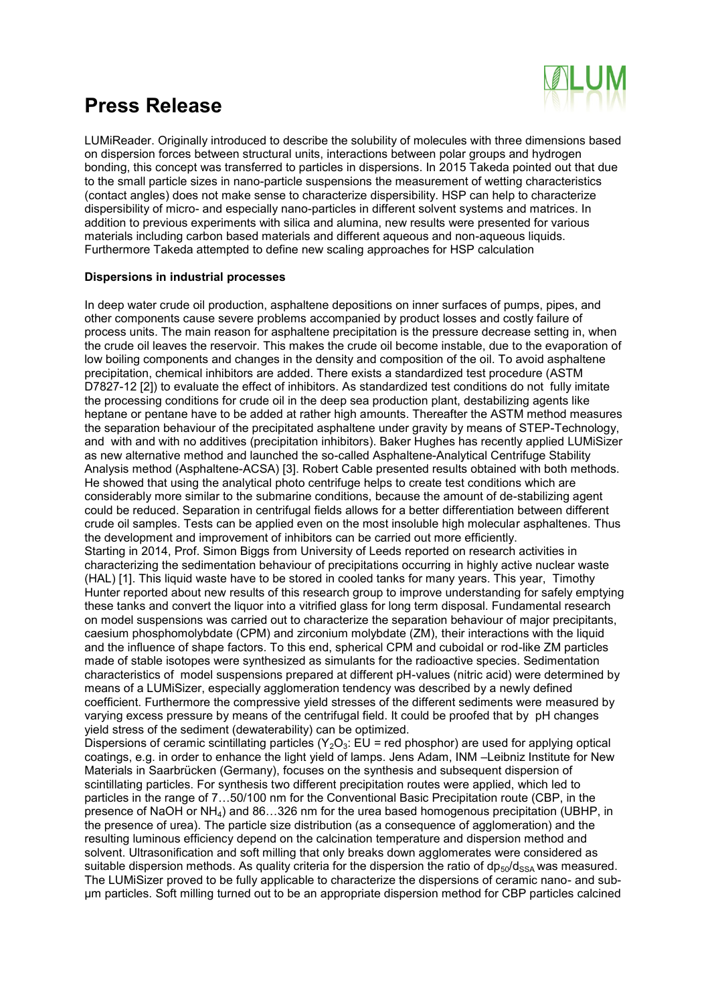

LUMiReader. Originally introduced to describe the solubility of molecules with three dimensions based on dispersion forces between structural units, interactions between polar groups and hydrogen bonding, this concept was transferred to particles in dispersions. In 2015 Takeda pointed out that due to the small particle sizes in nano-particle suspensions the measurement of wetting characteristics (contact angles) does not make sense to characterize dispersibility. HSP can help to characterize dispersibility of micro- and especially nano-particles in different solvent systems and matrices. In addition to previous experiments with silica and alumina, new results were presented for various materials including carbon based materials and different aqueous and non-aqueous liquids. Furthermore Takeda attempted to define new scaling approaches for HSP calculation

#### **Dispersions in industrial processes**

In deep water crude oil production, asphaltene depositions on inner surfaces of pumps, pipes, and other components cause severe problems accompanied by product losses and costly failure of process units. The main reason for asphaltene precipitation is the pressure decrease setting in, when the crude oil leaves the reservoir. This makes the crude oil become instable, due to the evaporation of low boiling components and changes in the density and composition of the oil. To avoid asphaltene precipitation, chemical inhibitors are added. There exists a standardized test procedure (ASTM D7827-12 [2]) to evaluate the effect of inhibitors. As standardized test conditions do not fully imitate the processing conditions for crude oil in the deep sea production plant, destabilizing agents like heptane or pentane have to be added at rather high amounts. Thereafter the ASTM method measures the separation behaviour of the precipitated asphaltene under gravity by means of STEP-Technology, and with and with no additives (precipitation inhibitors). Baker Hughes has recently applied LUMiSizer as new alternative method and launched the so-called Asphaltene-Analytical Centrifuge Stability Analysis method (Asphaltene-ACSA) [3]. Robert Cable presented results obtained with both methods. He showed that using the analytical photo centrifuge helps to create test conditions which are considerably more similar to the submarine conditions, because the amount of de-stabilizing agent could be reduced. Separation in centrifugal fields allows for a better differentiation between different crude oil samples. Tests can be applied even on the most insoluble high molecular asphaltenes. Thus the development and improvement of inhibitors can be carried out more efficiently. Starting in 2014, Prof. Simon Biggs from University of Leeds reported on research activities in characterizing the sedimentation behaviour of precipitations occurring in highly active nuclear waste (HAL) [1]. This liquid waste have to be stored in cooled tanks for many years. This year, Timothy Hunter reported about new results of this research group to improve understanding for safely emptying these tanks and convert the liquor into a vitrified glass for long term disposal. Fundamental research on model suspensions was carried out to characterize the separation behaviour of major precipitants, caesium phosphomolybdate (CPM) and zirconium molybdate (ZM), their interactions with the liquid and the influence of shape factors. To this end, spherical CPM and cuboidal or rod-like ZM particles made of stable isotopes were synthesized as simulants for the radioactive species. Sedimentation characteristics of model suspensions prepared at different pH-values (nitric acid) were determined by means of a LUMiSizer, especially agglomeration tendency was described by a newly defined coefficient. Furthermore the compressive yield stresses of the different sediments were measured by varying excess pressure by means of the centrifugal field. It could be proofed that by pH changes yield stress of the sediment (dewaterability) can be optimized.

Dispersions of ceramic scintillating particles ( $Y_2O_3$ : EU = red phosphor) are used for applying optical coatings, e.g. in order to enhance the light yield of lamps. Jens Adam, INM –Leibniz Institute for New Materials in Saarbrücken (Germany), focuses on the synthesis and subsequent dispersion of scintillating particles. For synthesis two different precipitation routes were applied, which led to particles in the range of 7…50/100 nm for the Conventional Basic Precipitation route (CBP, in the presence of NaOH or NH4) and 86…326 nm for the urea based homogenous precipitation (UBHP, in the presence of urea). The particle size distribution (as a consequence of agglomeration) and the resulting luminous efficiency depend on the calcination temperature and dispersion method and solvent. Ultrasonification and soft milling that only breaks down agglomerates were considered as suitable dispersion methods. As quality criteria for the dispersion the ratio of  $dp_{50}/d_{SSA}$  was measured. The LUMiSizer proved to be fully applicable to characterize the dispersions of ceramic nano- and subµm particles. Soft milling turned out to be an appropriate dispersion method for CBP particles calcined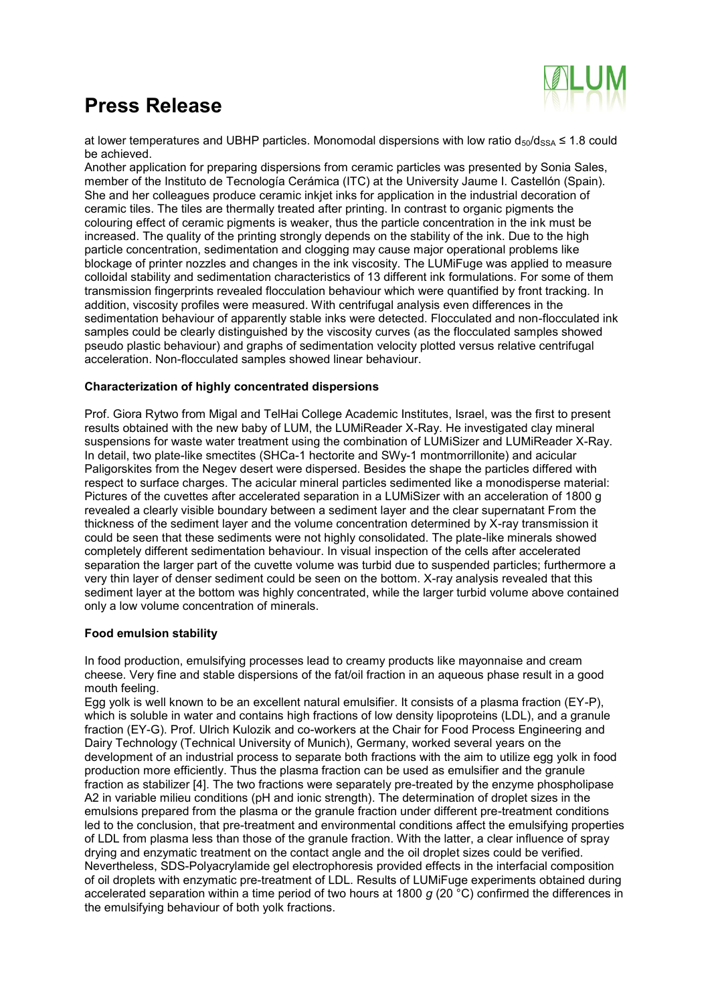

at lower temperatures and UBHP particles. Monomodal dispersions with low ratio  $d_{50}/d_{SSA} \leq 1.8$  could be achieved.

Another application for preparing dispersions from ceramic particles was presented by Sonia Sales, member of the Instituto de Tecnología Cerámica (ITC) at the University Jaume I. Castellón (Spain). She and her colleagues produce ceramic inkjet inks for application in the industrial decoration of ceramic tiles. The tiles are thermally treated after printing. In contrast to organic pigments the colouring effect of ceramic pigments is weaker, thus the particle concentration in the ink must be increased. The quality of the printing strongly depends on the stability of the ink. Due to the high particle concentration, sedimentation and clogging may cause major operational problems like blockage of printer nozzles and changes in the ink viscosity. The LUMiFuge was applied to measure colloidal stability and sedimentation characteristics of 13 different ink formulations. For some of them transmission fingerprints revealed flocculation behaviour which were quantified by front tracking. In addition, viscosity profiles were measured. With centrifugal analysis even differences in the sedimentation behaviour of apparently stable inks were detected. Flocculated and non-flocculated ink samples could be clearly distinguished by the viscosity curves (as the flocculated samples showed pseudo plastic behaviour) and graphs of sedimentation velocity plotted versus relative centrifugal acceleration. Non-flocculated samples showed linear behaviour.

### **Characterization of highly concentrated dispersions**

Prof. Giora Rytwo from Migal and TelHai College Academic Institutes, Israel, was the first to present results obtained with the new baby of LUM, the LUMiReader X-Ray. He investigated clay mineral suspensions for waste water treatment using the combination of LUMiSizer and LUMiReader X-Ray. In detail, two plate-like smectites (SHCa-1 hectorite and SWy-1 montmorrillonite) and acicular Paligorskites from the Negev desert were dispersed. Besides the shape the particles differed with respect to surface charges. The acicular mineral particles sedimented like a monodisperse material: Pictures of the cuvettes after accelerated separation in a LUMiSizer with an acceleration of 1800 g revealed a clearly visible boundary between a sediment layer and the clear supernatant From the thickness of the sediment layer and the volume concentration determined by X-ray transmission it could be seen that these sediments were not highly consolidated. The plate-like minerals showed completely different sedimentation behaviour. In visual inspection of the cells after accelerated separation the larger part of the cuvette volume was turbid due to suspended particles; furthermore a very thin layer of denser sediment could be seen on the bottom. X-ray analysis revealed that this sediment layer at the bottom was highly concentrated, while the larger turbid volume above contained only a low volume concentration of minerals.

#### **Food emulsion stability**

In food production, emulsifying processes lead to creamy products like mayonnaise and cream cheese. Very fine and stable dispersions of the fat/oil fraction in an aqueous phase result in a good mouth feeling.

Egg yolk is well known to be an excellent natural emulsifier. It consists of a plasma fraction (EY-P), which is soluble in water and contains high fractions of low density lipoproteins (LDL), and a granule fraction (EY-G). Prof. Ulrich Kulozik and co-workers at the Chair for Food Process Engineering and Dairy Technology (Technical University of Munich), Germany, worked several years on the development of an industrial process to separate both fractions with the aim to utilize egg yolk in food production more efficiently. Thus the plasma fraction can be used as emulsifier and the granule fraction as stabilizer [4]. The two fractions were separately pre-treated by the enzyme phospholipase A2 in variable milieu conditions (pH and ionic strength). The determination of droplet sizes in the emulsions prepared from the plasma or the granule fraction under different pre-treatment conditions led to the conclusion, that pre-treatment and environmental conditions affect the emulsifying properties of LDL from plasma less than those of the granule fraction. With the latter, a clear influence of spray drying and enzymatic treatment on the contact angle and the oil droplet sizes could be verified. Nevertheless, SDS-Polyacrylamide gel electrophoresis provided effects in the interfacial composition of oil droplets with enzymatic pre-treatment of LDL. Results of LUMiFuge experiments obtained during accelerated separation within a time period of two hours at 1800 *g* (20 °C) confirmed the differences in the emulsifying behaviour of both yolk fractions.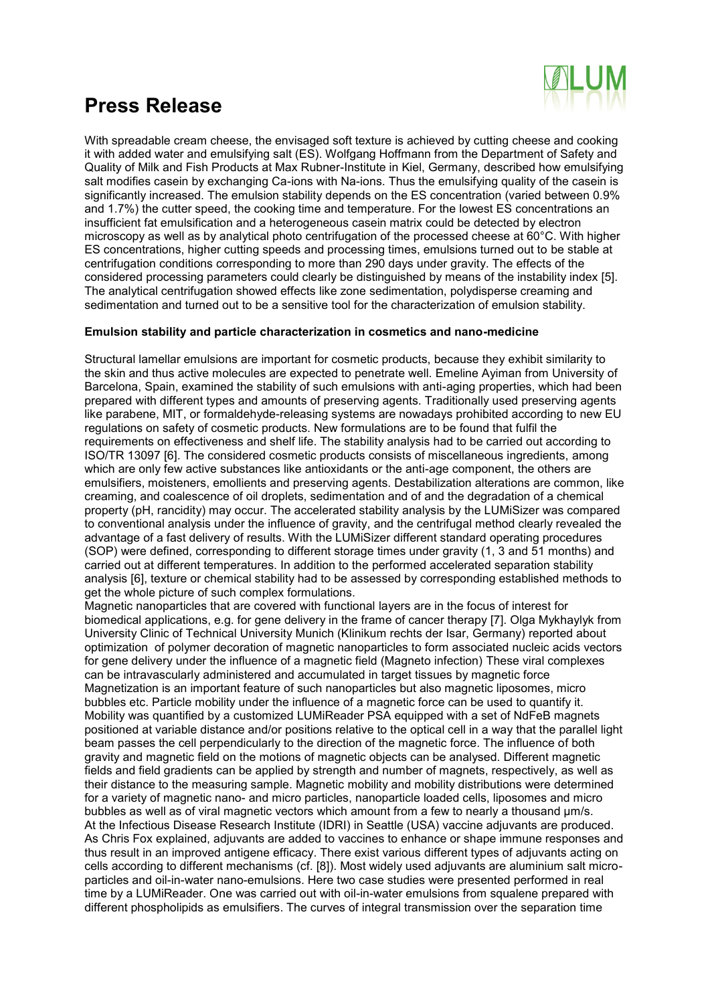

With spreadable cream cheese, the envisaged soft texture is achieved by cutting cheese and cooking it with added water and emulsifying salt (ES). Wolfgang Hoffmann from the Department of Safety and Quality of Milk and Fish Products at Max Rubner-Institute in Kiel, Germany, described how emulsifying salt modifies casein by exchanging Ca-ions with Na-ions. Thus the emulsifying quality of the casein is significantly increased. The emulsion stability depends on the ES concentration (varied between 0.9% and 1.7%) the cutter speed, the cooking time and temperature. For the lowest ES concentrations an insufficient fat emulsification and a heterogeneous casein matrix could be detected by electron microscopy as well as by analytical photo centrifugation of the processed cheese at 60°C. With higher ES concentrations, higher cutting speeds and processing times, emulsions turned out to be stable at centrifugation conditions corresponding to more than 290 days under gravity. The effects of the considered processing parameters could clearly be distinguished by means of the instability index [5]. The analytical centrifugation showed effects like zone sedimentation, polydisperse creaming and sedimentation and turned out to be a sensitive tool for the characterization of emulsion stability.

#### **Emulsion stability and particle characterization in cosmetics and nano-medicine**

Structural lamellar emulsions are important for cosmetic products, because they exhibit similarity to the skin and thus active molecules are expected to penetrate well. Emeline Ayiman from University of Barcelona, Spain, examined the stability of such emulsions with anti-aging properties, which had been prepared with different types and amounts of preserving agents. Traditionally used preserving agents like parabene, MIT, or formaldehyde-releasing systems are nowadays prohibited according to new EU regulations on safety of cosmetic products. New formulations are to be found that fulfil the requirements on effectiveness and shelf life. The stability analysis had to be carried out according to ISO/TR 13097 [6]. The considered cosmetic products consists of miscellaneous ingredients, among which are only few active substances like antioxidants or the anti-age component, the others are emulsifiers, moisteners, emollients and preserving agents. Destabilization alterations are common, like creaming, and coalescence of oil droplets, sedimentation and of and the degradation of a chemical property (pH, rancidity) may occur. The accelerated stability analysis by the LUMiSizer was compared to conventional analysis under the influence of gravity, and the centrifugal method clearly revealed the advantage of a fast delivery of results. With the LUMiSizer different standard operating procedures (SOP) were defined, corresponding to different storage times under gravity (1, 3 and 51 months) and carried out at different temperatures. In addition to the performed accelerated separation stability analysis [6], texture or chemical stability had to be assessed by corresponding established methods to get the whole picture of such complex formulations.

Magnetic nanoparticles that are covered with functional layers are in the focus of interest for biomedical applications, e.g. for gene delivery in the frame of cancer therapy [7]. Olga Mykhaylyk from University Clinic of Technical University Munich (Klinikum rechts der Isar, Germany) reported about optimization of polymer decoration of magnetic nanoparticles to form associated nucleic acids vectors for gene delivery under the influence of a magnetic field (Magneto infection) These viral complexes can be intravascularly administered and accumulated in target tissues by magnetic force Magnetization is an important feature of such nanoparticles but also magnetic liposomes, micro bubbles etc. Particle mobility under the influence of a magnetic force can be used to quantify it. Mobility was quantified by a customized LUMiReader PSA equipped with a set of NdFeB magnets positioned at variable distance and/or positions relative to the optical cell in a way that the parallel light beam passes the cell perpendicularly to the direction of the magnetic force. The influence of both gravity and magnetic field on the motions of magnetic objects can be analysed. Different magnetic fields and field gradients can be applied by strength and number of magnets, respectively, as well as their distance to the measuring sample. Magnetic mobility and mobility distributions were determined for a variety of magnetic nano- and micro particles, nanoparticle loaded cells, liposomes and micro bubbles as well as of viral magnetic vectors which amount from a few to nearly a thousand  $\mu$ m/s. At the Infectious Disease Research Institute (IDRI) in Seattle (USA) vaccine adjuvants are produced. As Chris Fox explained, adjuvants are added to vaccines to enhance or shape immune responses and thus result in an improved antigene efficacy. There exist various different types of adjuvants acting on cells according to different mechanisms (cf. [8]). Most widely used adjuvants are aluminium salt microparticles and oil-in-water nano-emulsions. Here two case studies were presented performed in real time by a LUMiReader. One was carried out with oil-in-water emulsions from squalene prepared with different phospholipids as emulsifiers. The curves of integral transmission over the separation time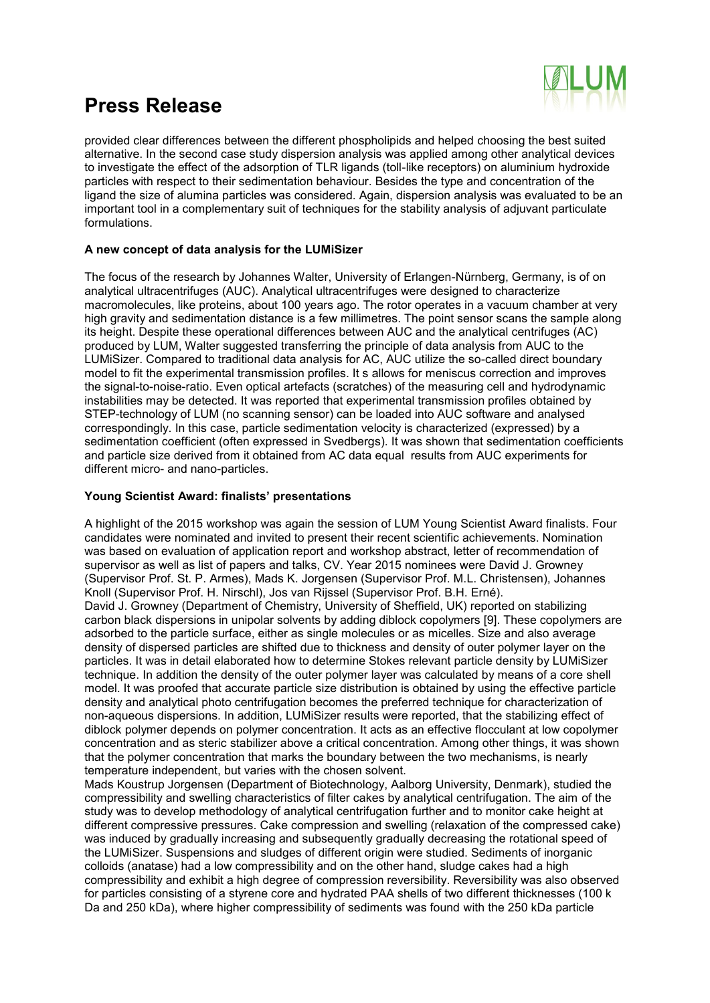

provided clear differences between the different phospholipids and helped choosing the best suited alternative. In the second case study dispersion analysis was applied among other analytical devices to investigate the effect of the adsorption of TLR ligands (toll-like receptors) on aluminium hydroxide particles with respect to their sedimentation behaviour. Besides the type and concentration of the ligand the size of alumina particles was considered. Again, dispersion analysis was evaluated to be an important tool in a complementary suit of techniques for the stability analysis of adjuvant particulate formulations.

#### **A new concept of data analysis for the LUMiSizer**

The focus of the research by Johannes Walter, University of Erlangen-Nürnberg, Germany, is of on analytical ultracentrifuges (AUC). Analytical ultracentrifuges were designed to characterize macromolecules, like proteins, about 100 years ago. The rotor operates in a vacuum chamber at very high gravity and sedimentation distance is a few millimetres. The point sensor scans the sample along its height. Despite these operational differences between AUC and the analytical centrifuges (AC) produced by LUM, Walter suggested transferring the principle of data analysis from AUC to the LUMiSizer. Compared to traditional data analysis for AC, AUC utilize the so-called direct boundary model to fit the experimental transmission profiles. It s allows for meniscus correction and improves the signal-to-noise-ratio. Even optical artefacts (scratches) of the measuring cell and hydrodynamic instabilities may be detected. It was reported that experimental transmission profiles obtained by STEP-technology of LUM (no scanning sensor) can be loaded into AUC software and analysed correspondingly. In this case, particle sedimentation velocity is characterized (expressed) by a sedimentation coefficient (often expressed in Svedbergs). It was shown that sedimentation coefficients and particle size derived from it obtained from AC data equal results from AUC experiments for different micro- and nano-particles.

#### **Young Scientist Award: finalists' presentations**

A highlight of the 2015 workshop was again the session of LUM Young Scientist Award finalists. Four candidates were nominated and invited to present their recent scientific achievements. Nomination was based on evaluation of application report and workshop abstract, letter of recommendation of supervisor as well as list of papers and talks, CV. Year 2015 nominees were David J. Growney (Supervisor Prof. St. P. Armes), Mads K. Jorgensen (Supervisor Prof. M.L. Christensen), Johannes Knoll (Supervisor Prof. H. Nirschl), Jos van Rijssel (Supervisor Prof. B.H. Erné). David J. Growney (Department of Chemistry, University of Sheffield, UK) reported on stabilizing carbon black dispersions in unipolar solvents by adding diblock copolymers [9]. These copolymers are adsorbed to the particle surface, either as single molecules or as micelles. Size and also average density of dispersed particles are shifted due to thickness and density of outer polymer layer on the particles. It was in detail elaborated how to determine Stokes relevant particle density by LUMiSizer technique. In addition the density of the outer polymer layer was calculated by means of a core shell model. It was proofed that accurate particle size distribution is obtained by using the effective particle density and analytical photo centrifugation becomes the preferred technique for characterization of non-aqueous dispersions. In addition, LUMiSizer results were reported, that the stabilizing effect of diblock polymer depends on polymer concentration. It acts as an effective flocculant at low copolymer concentration and as steric stabilizer above a critical concentration. Among other things, it was shown that the polymer concentration that marks the boundary between the two mechanisms, is nearly temperature independent, but varies with the chosen solvent.

Mads Koustrup Jorgensen (Department of Biotechnology, Aalborg University, Denmark), studied the compressibility and swelling characteristics of filter cakes by analytical centrifugation. The aim of the study was to develop methodology of analytical centrifugation further and to monitor cake height at different compressive pressures. Cake compression and swelling (relaxation of the compressed cake) was induced by gradually increasing and subsequently gradually decreasing the rotational speed of the LUMiSizer. Suspensions and sludges of different origin were studied. Sediments of inorganic colloids (anatase) had a low compressibility and on the other hand, sludge cakes had a high compressibility and exhibit a high degree of compression reversibility. Reversibility was also observed for particles consisting of a styrene core and hydrated PAA shells of two different thicknesses (100 k Da and 250 kDa), where higher compressibility of sediments was found with the 250 kDa particle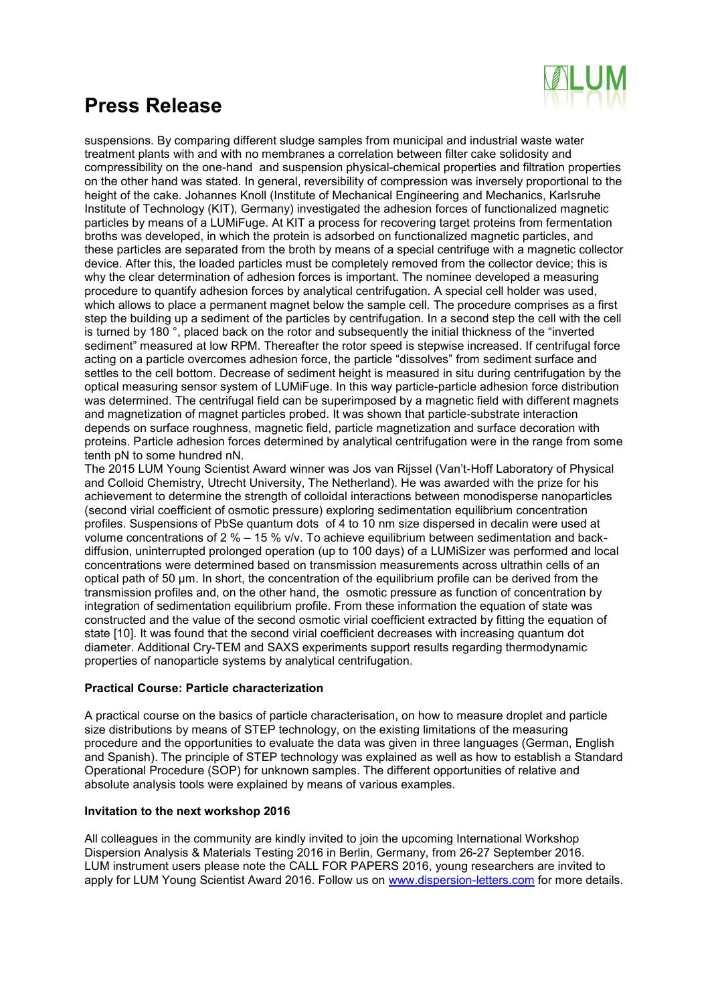

suspensions. By comparing different sludge samples from municipal and industrial waste water treatment plants with and with no membranes a correlation between filter cake solidosity and compressibility on the one-hand and suspension physical-chemical properties and filtration properties on the other hand was stated. In general, reversibility of compression was inversely proportional to the height of the cake. Johannes Knoll (Institute of Mechanical Engineering and Mechanics, Karlsruhe Institute of Technology (KIT), Germany) investigated the adhesion forces of functionalized magnetic particles by means of a LUMiFuge. At KIT a process for recovering target proteins from fermentation broths was developed, in which the protein is adsorbed on functionalized magnetic particles, and these particles are separated from the broth by means of a special centrifuge with a magnetic collector device. After this, the loaded particles must be completely removed from the collector device; this is why the clear determination of adhesion forces is important. The nominee developed a measuring procedure to quantify adhesion forces by analytical centrifugation. A special cell holder was used, which allows to place a permanent magnet below the sample cell. The procedure comprises as a first step the building up a sediment of the particles by centrifugation. In a second step the cell with the cell is turned by 180 °, placed back on the rotor and subsequently the initial thickness of the "inverted sediment" measured at low RPM. Thereafter the rotor speed is stepwise increased. If centrifugal force acting on a particle overcomes adhesion force, the particle "dissolves" from sediment surface and settles to the cell bottom. Decrease of sediment height is measured in situ during centrifugation by the optical measuring sensor system of LUMiFuge. In this way particle-particle adhesion force distribution was determined. The centrifugal field can be superimposed by a magnetic field with different magnets and magnetization of magnet particles probed. It was shown that particle-substrate interaction depends on surface roughness, magnetic field, particle magnetization and surface decoration with proteins. Particle adhesion forces determined by analytical centrifugation were in the range from some tenth pN to some hundred nN.

The 2015 LUM Young Scientist Award winner was Jos van Rijssel (Van't-Hoff Laboratory of Physical and Colloid Chemistry, Utrecht University, The Netherland). He was awarded with the prize for his achievement to determine the strength of colloidal interactions between monodisperse nanoparticles (second virial coefficient of osmotic pressure) exploring sedimentation equilibrium concentration profiles. Suspensions of PbSe quantum dots of 4 to 10 nm size dispersed in decalin were used at volume concentrations of 2 % – 15 % v/v. To achieve equilibrium between sedimentation and backdiffusion, uninterrupted prolonged operation (up to 100 days) of a LUMiSizer was performed and local concentrations were determined based on transmission measurements across ultrathin cells of an optical path of 50 µm. In short, the concentration of the equilibrium profile can be derived from the transmission profiles and, on the other hand, the osmotic pressure as function of concentration by integration of sedimentation equilibrium profile. From these information the equation of state was constructed and the value of the second osmotic virial coefficient extracted by fitting the equation of state [10]. It was found that the second virial coefficient decreases with increasing quantum dot diameter. Additional Cry-TEM and SAXS experiments support results regarding thermodynamic properties of nanoparticle systems by analytical centrifugation.

### **Practical Course: Particle characterization**

A practical course on the basics of particle characterisation, on how to measure droplet and particle size distributions by means of STEP technology, on the existing limitations of the measuring procedure and the opportunities to evaluate the data was given in three languages (German, English and Spanish). The principle of STEP technology was explained as well as how to establish a Standard Operational Procedure (SOP) for unknown samples. The different opportunities of relative and absolute analysis tools were explained by means of various examples.

#### **Invitation to the next workshop 2016**

All colleagues in the community are kindly invited to join the upcoming International Workshop Dispersion Analysis & Materials Testing 2016 in Berlin, Germany, from 26-27 September 2016. LUM instrument users please note the CALL FOR PAPERS 2016, young researchers are invited to apply for LUM Young Scientist Award 2016. Follow us on [www.dispersion-letters.com](http://www.dispersion-letters.com/) for more details.